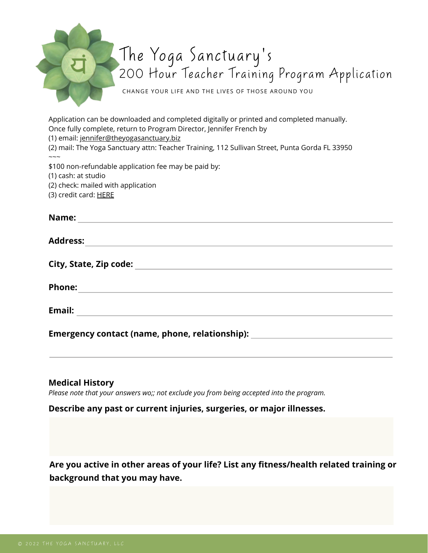Application can be downloaded and completed digitally or printed and completed manually. Once fully complete, return to Program Director, Jennifer French by

(1) email: [jennifer@theyogasanctuary.biz](mailto:jennifer@theyogasanctuary.biz)

(2) mail: The Yoga Sanctuary attn: Teacher Training, 112 Sullivan Street, Punta Gorda FL 33950  $\sim\sim\sim$ 

\$100 non-refundable application fee may be paid by:

(1) cash: at studio

(2) check: mailed with application

(3) credit card: [HERE](https://clients.mindbodyonline.com/classic/ws?studioid=2338&stype=41&sTG=23&prodId=1955)

| Name:           |  |  |  |
|-----------------|--|--|--|
|                 |  |  |  |
| <b>Address:</b> |  |  |  |

**City, State, Zip code:** 

**Phone:** 

**Email:** 

**Emergency contact (name, phone, relationship):** 

#### **Medical History**

*Please note that your answers wo;; not exclude you from being accepted into the program.*

#### **Describe any past or current injuries, surgeries, or major illnesses.**

**Are you active in other areas of your life? List any fitness/health related training or background that you may have.**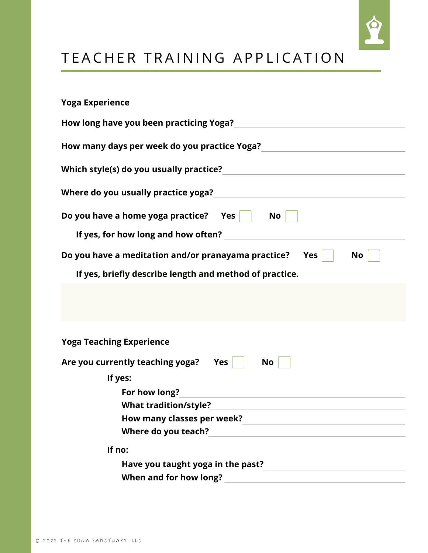

# TEACHER TRAINING APPLICATION

| <b>Yoga Experience</b>                                                  |
|-------------------------------------------------------------------------|
| How long have you been practicing Yoga? Now long have you               |
|                                                                         |
|                                                                         |
|                                                                         |
| Do you have a home yoga practice? Yes No                                |
|                                                                         |
| Do you have a meditation and/or pranayama practice?<br>$Yes \mid$<br>No |
| If yes, briefly describe length and method of practice.                 |
|                                                                         |
| <b>Yoga Teaching Experience</b>                                         |
| Are you currently teaching yoga?<br>Yes<br>No                           |
| If yes:                                                                 |
| For how long?                                                           |
| <b>What tradition/style?</b>                                            |
|                                                                         |
|                                                                         |
| If no:                                                                  |
|                                                                         |
| When and for how long?                                                  |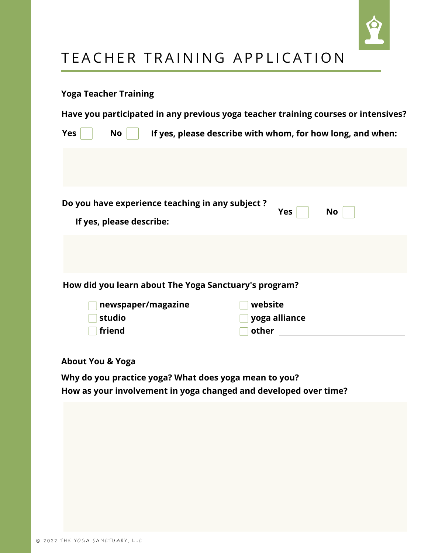

# TEACHER TRAINING APPLICATION

#### **Yoga Teacher Training**

**Have you participated in any previous yoga teacher training courses or intensives?**

| If yes, please describe with whom, for how long, and when:<br><b>Yes</b><br><b>No</b> |                          |                                                       |       |            |    |  |  |
|---------------------------------------------------------------------------------------|--------------------------|-------------------------------------------------------|-------|------------|----|--|--|
|                                                                                       |                          |                                                       |       |            |    |  |  |
|                                                                                       | If yes, please describe: | Do you have experience teaching in any subject?       |       | <b>Yes</b> | No |  |  |
|                                                                                       |                          |                                                       |       |            |    |  |  |
|                                                                                       |                          | How did you learn about The Yoga Sanctuary's program? |       |            |    |  |  |
|                                                                                       | newspaper/magazine       |                                                       |       | website    |    |  |  |
|                                                                                       | yoga alliance<br>studio  |                                                       |       |            |    |  |  |
|                                                                                       | friend                   |                                                       | other |            |    |  |  |

**About You & Yoga**

**Why do you practice yoga? What does yoga mean to you? How as your involvement in yoga changed and developed over time?**